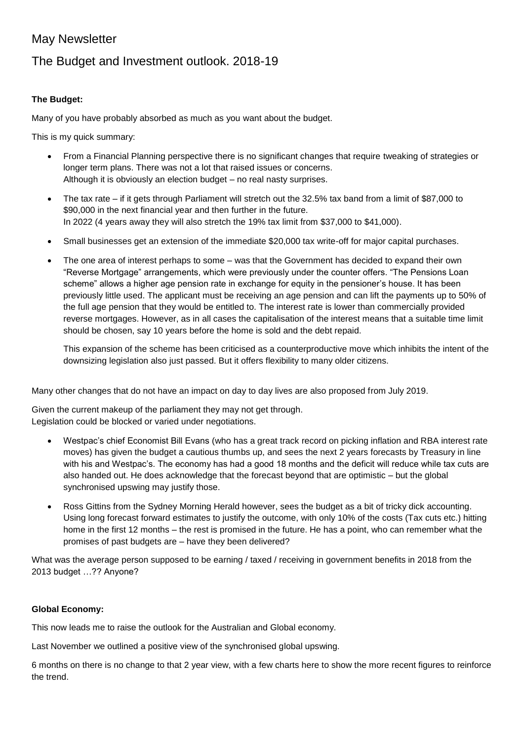## May Newsletter

## The Budget and Investment outlook. 2018-19

## **The Budget:**

Many of you have probably absorbed as much as you want about the budget.

This is my quick summary:

- From a Financial Planning perspective there is no significant changes that require tweaking of strategies or longer term plans. There was not a lot that raised issues or concerns. Although it is obviously an election budget – no real nasty surprises.
- The tax rate if it gets through Parliament will stretch out the 32.5% tax band from a limit of \$87,000 to \$90,000 in the next financial year and then further in the future. In 2022 (4 years away they will also stretch the 19% tax limit from \$37,000 to \$41,000).
- Small businesses get an extension of the immediate \$20,000 tax write-off for major capital purchases.
- The one area of interest perhaps to some was that the Government has decided to expand their own "Reverse Mortgage" arrangements, which were previously under the counter offers. "The Pensions Loan scheme" allows a higher age pension rate in exchange for equity in the pensioner's house. It has been previously little used. The applicant must be receiving an age pension and can lift the payments up to 50% of the full age pension that they would be entitled to. The interest rate is lower than commercially provided reverse mortgages. However, as in all cases the capitalisation of the interest means that a suitable time limit should be chosen, say 10 years before the home is sold and the debt repaid.

This expansion of the scheme has been criticised as a counterproductive move which inhibits the intent of the downsizing legislation also just passed. But it offers flexibility to many older citizens.

Many other changes that do not have an impact on day to day lives are also proposed from July 2019.

Given the current makeup of the parliament they may not get through. Legislation could be blocked or varied under negotiations.

- Westpac's chief Economist Bill Evans (who has a great track record on picking inflation and RBA interest rate moves) has given the budget a cautious thumbs up, and sees the next 2 years forecasts by Treasury in line with his and Westpac's. The economy has had a good 18 months and the deficit will reduce while tax cuts are also handed out. He does acknowledge that the forecast beyond that are optimistic – but the global synchronised upswing may justify those.
- Ross Gittins from the Sydney Morning Herald however, sees the budget as a bit of tricky dick accounting. Using long forecast forward estimates to justify the outcome, with only 10% of the costs (Tax cuts etc.) hitting home in the first 12 months – the rest is promised in the future. He has a point, who can remember what the promises of past budgets are – have they been delivered?

What was the average person supposed to be earning / taxed / receiving in government benefits in 2018 from the 2013 budget …?? Anyone?

## **Global Economy:**

This now leads me to raise the outlook for the Australian and Global economy.

Last November we outlined a positive view of the synchronised global upswing.

6 months on there is no change to that 2 year view, with a few charts here to show the more recent figures to reinforce the trend.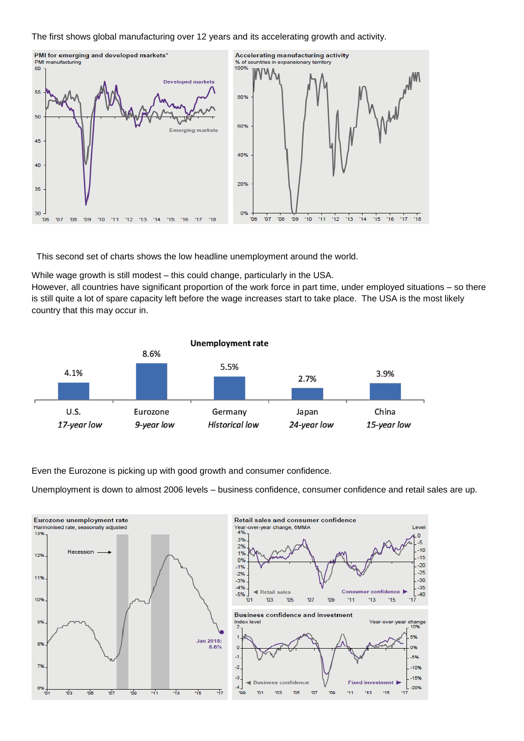The first shows global manufacturing over 12 years and its accelerating growth and activity.



This second set of charts shows the low headline unemployment around the world.

While wage growth is still modest – this could change, particularly in the USA.

However, all countries have significant proportion of the work force in part time, under employed situations – so there is still quite a lot of spare capacity left before the wage increases start to take place. The USA is the most likely country that this may occur in.



Even the Eurozone is picking up with good growth and consumer confidence.

Unemployment is down to almost 2006 levels – business confidence, consumer confidence and retail sales are up.